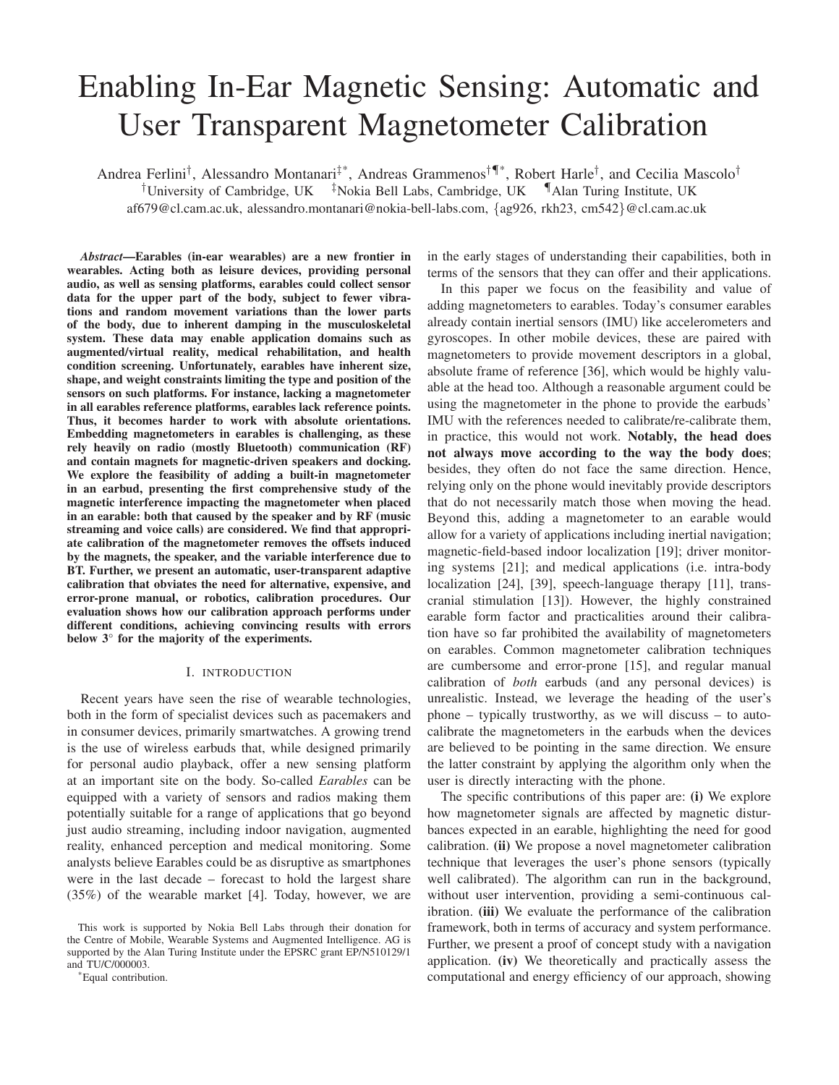# Enabling In-Ear Magnetic Sensing: Automatic and User Transparent Magnetometer Calibration

Andrea Ferlini†, Alessandro Montanari‡\*, Andreas Grammenos†¶\*, Robert Harle†, and Cecilia Mascolo† <sup>†</sup>University of Cambridge, UK  $\frac{1}{4}$ Nokia Bell Labs, Cambridge, UK  $\frac{1}{4}$ Alan Turing Institute, UK af679@cl.cam.ac.uk, alessandro.montanari@nokia-bell-labs.com, {ag926, rkh23, cm542}@cl.cam.ac.uk

*Abstract*—Earables (in-ear wearables) are a new frontier in wearables. Acting both as leisure devices, providing personal audio, as well as sensing platforms, earables could collect sensor data for the upper part of the body, subject to fewer vibrations and random movement variations than the lower parts of the body, due to inherent damping in the musculoskeletal system. These data may enable application domains such as augmented/virtual reality, medical rehabilitation, and health condition screening. Unfortunately, earables have inherent size, shape, and weight constraints limiting the type and position of the sensors on such platforms. For instance, lacking a magnetometer in all earables reference platforms, earables lack reference points. Thus, it becomes harder to work with absolute orientations. Embedding magnetometers in earables is challenging, as these rely heavily on radio (mostly Bluetooth) communication (RF) and contain magnets for magnetic-driven speakers and docking. We explore the feasibility of adding a built-in magnetometer in an earbud, presenting the first comprehensive study of the magnetic interference impacting the magnetometer when placed in an earable: both that caused by the speaker and by RF (music streaming and voice calls) are considered. We find that appropriate calibration of the magnetometer removes the offsets induced by the magnets, the speaker, and the variable interference due to BT. Further, we present an automatic, user-transparent adaptive calibration that obviates the need for alternative, expensive, and error-prone manual, or robotics, calibration procedures. Our evaluation shows how our calibration approach performs under different conditions, achieving convincing results with errors below 3° for the majority of the experiments.

## I. INTRODUCTION

Recent years have seen the rise of wearable technologies, both in the form of specialist devices such as pacemakers and in consumer devices, primarily smartwatches. A growing trend is the use of wireless earbuds that, while designed primarily for personal audio playback, offer a new sensing platform at an important site on the body. So-called *Earables* can be equipped with a variety of sensors and radios making them potentially suitable for a range of applications that go beyond just audio streaming, including indoor navigation, augmented reality, enhanced perception and medical monitoring. Some analysts believe Earables could be as disruptive as smartphones were in the last decade – forecast to hold the largest share (35%) of the wearable market [4]. Today, however, we are

\*Equal contribution.

in the early stages of understanding their capabilities, both in terms of the sensors that they can offer and their applications.

In this paper we focus on the feasibility and value of adding magnetometers to earables. Today's consumer earables already contain inertial sensors (IMU) like accelerometers and gyroscopes. In other mobile devices, these are paired with magnetometers to provide movement descriptors in a global, absolute frame of reference [36], which would be highly valuable at the head too. Although a reasonable argument could be using the magnetometer in the phone to provide the earbuds' IMU with the references needed to calibrate/re-calibrate them, in practice, this would not work. Notably, the head does not always move according to the way the body does; besides, they often do not face the same direction. Hence, relying only on the phone would inevitably provide descriptors that do not necessarily match those when moving the head. Beyond this, adding a magnetometer to an earable would allow for a variety of applications including inertial navigation; magnetic-field-based indoor localization [19]; driver monitoring systems [21]; and medical applications (i.e. intra-body localization [24], [39], speech-language therapy [11], transcranial stimulation [13]). However, the highly constrained earable form factor and practicalities around their calibration have so far prohibited the availability of magnetometers on earables. Common magnetometer calibration techniques are cumbersome and error-prone [15], and regular manual calibration of *both* earbuds (and any personal devices) is unrealistic. Instead, we leverage the heading of the user's phone – typically trustworthy, as we will discuss – to autocalibrate the magnetometers in the earbuds when the devices are believed to be pointing in the same direction. We ensure the latter constraint by applying the algorithm only when the user is directly interacting with the phone.

The specific contributions of this paper are: (i) We explore how magnetometer signals are affected by magnetic disturbances expected in an earable, highlighting the need for good calibration. (ii) We propose a novel magnetometer calibration technique that leverages the user's phone sensors (typically well calibrated). The algorithm can run in the background, without user intervention, providing a semi-continuous calibration. (iii) We evaluate the performance of the calibration framework, both in terms of accuracy and system performance. Further, we present a proof of concept study with a navigation application. (iv) We theoretically and practically assess the computational and energy efficiency of our approach, showing

This work is supported by Nokia Bell Labs through their donation for the Centre of Mobile, Wearable Systems and Augmented Intelligence. AG is supported by the Alan Turing Institute under the EPSRC grant EP/N510129/1 and TU/C/000003.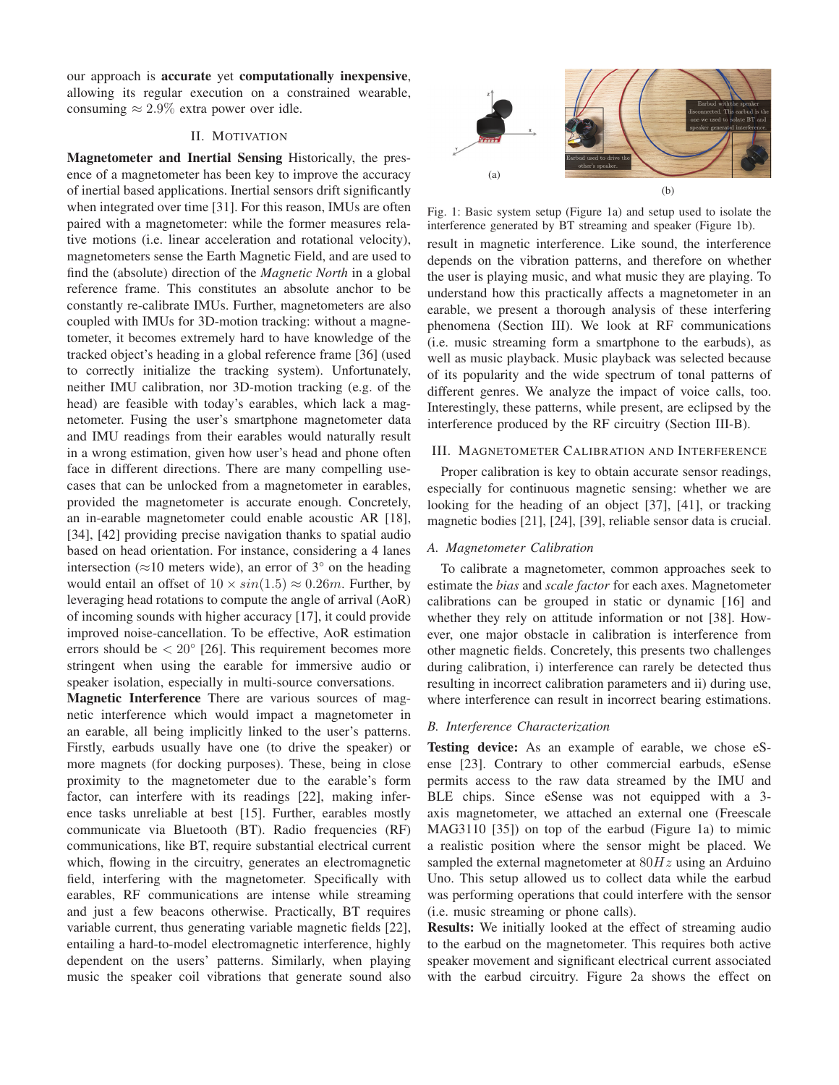our approach is accurate yet computationally inexpensive, allowing its regular execution on a constrained wearable, consuming  $\approx 2.9\%$  extra power over idle.

## II. MOTIVATION

Magnetometer and Inertial Sensing Historically, the presence of a magnetometer has been key to improve the accuracy of inertial based applications. Inertial sensors drift significantly when integrated over time [31]. For this reason, IMUs are often paired with a magnetometer: while the former measures relative motions (i.e. linear acceleration and rotational velocity), magnetometers sense the Earth Magnetic Field, and are used to find the (absolute) direction of the *Magnetic North* in a global reference frame. This constitutes an absolute anchor to be constantly re-calibrate IMUs. Further, magnetometers are also coupled with IMUs for 3D-motion tracking: without a magnetometer, it becomes extremely hard to have knowledge of the tracked object's heading in a global reference frame [36] (used to correctly initialize the tracking system). Unfortunately, neither IMU calibration, nor 3D-motion tracking (e.g. of the head) are feasible with today's earables, which lack a magnetometer. Fusing the user's smartphone magnetometer data and IMU readings from their earables would naturally result in a wrong estimation, given how user's head and phone often face in different directions. There are many compelling usecases that can be unlocked from a magnetometer in earables, provided the magnetometer is accurate enough. Concretely, an in-earable magnetometer could enable acoustic AR [18], [34], [42] providing precise navigation thanks to spatial audio based on head orientation. For instance, considering a 4 lanes intersection ( $\approx$ 10 meters wide), an error of 3 $\degree$  on the heading would entail an offset of  $10 \times \sin(1.5) \approx 0.26m$ . Further, by leveraging head rotations to compute the angle of arrival (AoR) of incoming sounds with higher accuracy [17], it could provide improved noise-cancellation. To be effective, AoR estimation errors should be  $\langle 20^\circ | 26$ . This requirement becomes more stringent when using the earable for immersive audio or speaker isolation, especially in multi-source conversations.

Magnetic Interference There are various sources of magnetic interference which would impact a magnetometer in an earable, all being implicitly linked to the user's patterns. Firstly, earbuds usually have one (to drive the speaker) or more magnets (for docking purposes). These, being in close proximity to the magnetometer due to the earable's form factor, can interfere with its readings [22], making inference tasks unreliable at best [15]. Further, earables mostly communicate via Bluetooth (BT). Radio frequencies (RF) communications, like BT, require substantial electrical current which, flowing in the circuitry, generates an electromagnetic field, interfering with the magnetometer. Specifically with earables, RF communications are intense while streaming and just a few beacons otherwise. Practically, BT requires variable current, thus generating variable magnetic fields [22], entailing a hard-to-model electromagnetic interference, highly dependent on the users' patterns. Similarly, when playing music the speaker coil vibrations that generate sound also



Fig. 1: Basic system setup (Figure 1a) and setup used to isolate the interference generated by BT streaming and speaker (Figure 1b).

result in magnetic interference. Like sound, the interference depends on the vibration patterns, and therefore on whether the user is playing music, and what music they are playing. To understand how this practically affects a magnetometer in an earable, we present a thorough analysis of these interfering phenomena (Section III). We look at RF communications (i.e. music streaming form a smartphone to the earbuds), as well as music playback. Music playback was selected because of its popularity and the wide spectrum of tonal patterns of different genres. We analyze the impact of voice calls, too. Interestingly, these patterns, while present, are eclipsed by the interference produced by the RF circuitry (Section III-B).

# III. MAGNETOMETER CALIBRATION AND INTERFERENCE

Proper calibration is key to obtain accurate sensor readings, especially for continuous magnetic sensing: whether we are looking for the heading of an object [37], [41], or tracking magnetic bodies [21], [24], [39], reliable sensor data is crucial.

## *A. Magnetometer Calibration*

To calibrate a magnetometer, common approaches seek to estimate the *bias* and *scale factor* for each axes. Magnetometer calibrations can be grouped in static or dynamic [16] and whether they rely on attitude information or not [38]. However, one major obstacle in calibration is interference from other magnetic fields. Concretely, this presents two challenges during calibration, i) interference can rarely be detected thus resulting in incorrect calibration parameters and ii) during use, where interference can result in incorrect bearing estimations.

## *B. Interference Characterization*

Testing device: As an example of earable, we chose eSense [23]. Contrary to other commercial earbuds, eSense permits access to the raw data streamed by the IMU and BLE chips. Since eSense was not equipped with a 3 axis magnetometer, we attached an external one (Freescale MAG3110 [35]) on top of the earbud (Figure 1a) to mimic a realistic position where the sensor might be placed. We sampled the external magnetometer at  $80Hz$  using an Arduino Uno. This setup allowed us to collect data while the earbud was performing operations that could interfere with the sensor (i.e. music streaming or phone calls).

Results: We initially looked at the effect of streaming audio to the earbud on the magnetometer. This requires both active speaker movement and significant electrical current associated with the earbud circuitry. Figure 2a shows the effect on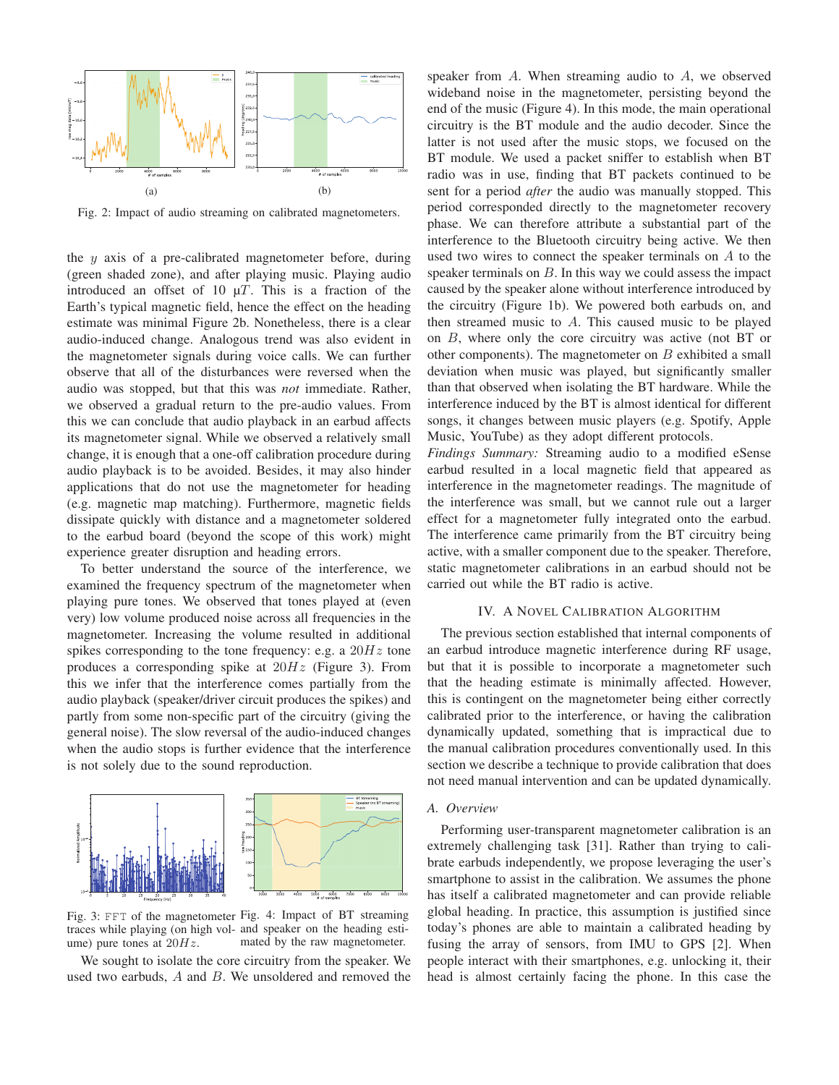

Fig. 2: Impact of audio streaming on calibrated magnetometers.

the  $y$  axis of a pre-calibrated magnetometer before, during (green shaded zone), and after playing music. Playing audio introduced an offset of 10  $\mu$ T. This is a fraction of the Earth's typical magnetic field, hence the effect on the heading estimate was minimal Figure 2b. Nonetheless, there is a clear audio-induced change. Analogous trend was also evident in the magnetometer signals during voice calls. We can further observe that all of the disturbances were reversed when the audio was stopped, but that this was *not* immediate. Rather, we observed a gradual return to the pre-audio values. From this we can conclude that audio playback in an earbud affects its magnetometer signal. While we observed a relatively small change, it is enough that a one-off calibration procedure during audio playback is to be avoided. Besides, it may also hinder applications that do not use the magnetometer for heading (e.g. magnetic map matching). Furthermore, magnetic fields dissipate quickly with distance and a magnetometer soldered to the earbud board (beyond the scope of this work) might experience greater disruption and heading errors.

To better understand the source of the interference, we examined the frequency spectrum of the magnetometer when playing pure tones. We observed that tones played at (even very) low volume produced noise across all frequencies in the magnetometer. Increasing the volume resulted in additional spikes corresponding to the tone frequency: e.g. a  $20Hz$  tone produces a corresponding spike at  $20Hz$  (Figure 3). From this we infer that the interference comes partially from the audio playback (speaker/driver circuit produces the spikes) and partly from some non-specific part of the circuitry (giving the general noise). The slow reversal of the audio-induced changes when the audio stops is further evidence that the interference is not solely due to the sound reproduction.



Fig. 3: FFT of the magnetometer Fig. 4: Impact of BT streaming traces while playing (on high vol-and speaker on the heading estiume) pure tones at  $20Hz$ . mated by the raw magnetometer.

We sought to isolate the core circuitry from the speaker. We used two earbuds, A and B. We unsoldered and removed the

speaker from A. When streaming audio to A, we observed wideband noise in the magnetometer, persisting beyond the end of the music (Figure 4). In this mode, the main operational circuitry is the BT module and the audio decoder. Since the latter is not used after the music stops, we focused on the BT module. We used a packet sniffer to establish when BT radio was in use, finding that BT packets continued to be sent for a period *after* the audio was manually stopped. This period corresponded directly to the magnetometer recovery phase. We can therefore attribute a substantial part of the interference to the Bluetooth circuitry being active. We then used two wires to connect the speaker terminals on A to the speaker terminals on  $B$ . In this way we could assess the impact caused by the speaker alone without interference introduced by the circuitry (Figure 1b). We powered both earbuds on, and then streamed music to A. This caused music to be played on B, where only the core circuitry was active (not BT or other components). The magnetometer on  $B$  exhibited a small deviation when music was played, but significantly smaller than that observed when isolating the BT hardware. While the interference induced by the BT is almost identical for different songs, it changes between music players (e.g. Spotify, Apple Music, YouTube) as they adopt different protocols.

*Findings Summary:* Streaming audio to a modified eSense earbud resulted in a local magnetic field that appeared as interference in the magnetometer readings. The magnitude of the interference was small, but we cannot rule out a larger effect for a magnetometer fully integrated onto the earbud. The interference came primarily from the BT circuitry being active, with a smaller component due to the speaker. Therefore, static magnetometer calibrations in an earbud should not be carried out while the BT radio is active.

# IV. A NOVEL CALIBRATION ALGORITHM

The previous section established that internal components of an earbud introduce magnetic interference during RF usage, but that it is possible to incorporate a magnetometer such that the heading estimate is minimally affected. However, this is contingent on the magnetometer being either correctly calibrated prior to the interference, or having the calibration dynamically updated, something that is impractical due to the manual calibration procedures conventionally used. In this section we describe a technique to provide calibration that does not need manual intervention and can be updated dynamically.

#### *A. Overview*

Performing user-transparent magnetometer calibration is an extremely challenging task [31]. Rather than trying to calibrate earbuds independently, we propose leveraging the user's smartphone to assist in the calibration. We assumes the phone has itself a calibrated magnetometer and can provide reliable global heading. In practice, this assumption is justified since today's phones are able to maintain a calibrated heading by fusing the array of sensors, from IMU to GPS [2]. When people interact with their smartphones, e.g. unlocking it, their head is almost certainly facing the phone. In this case the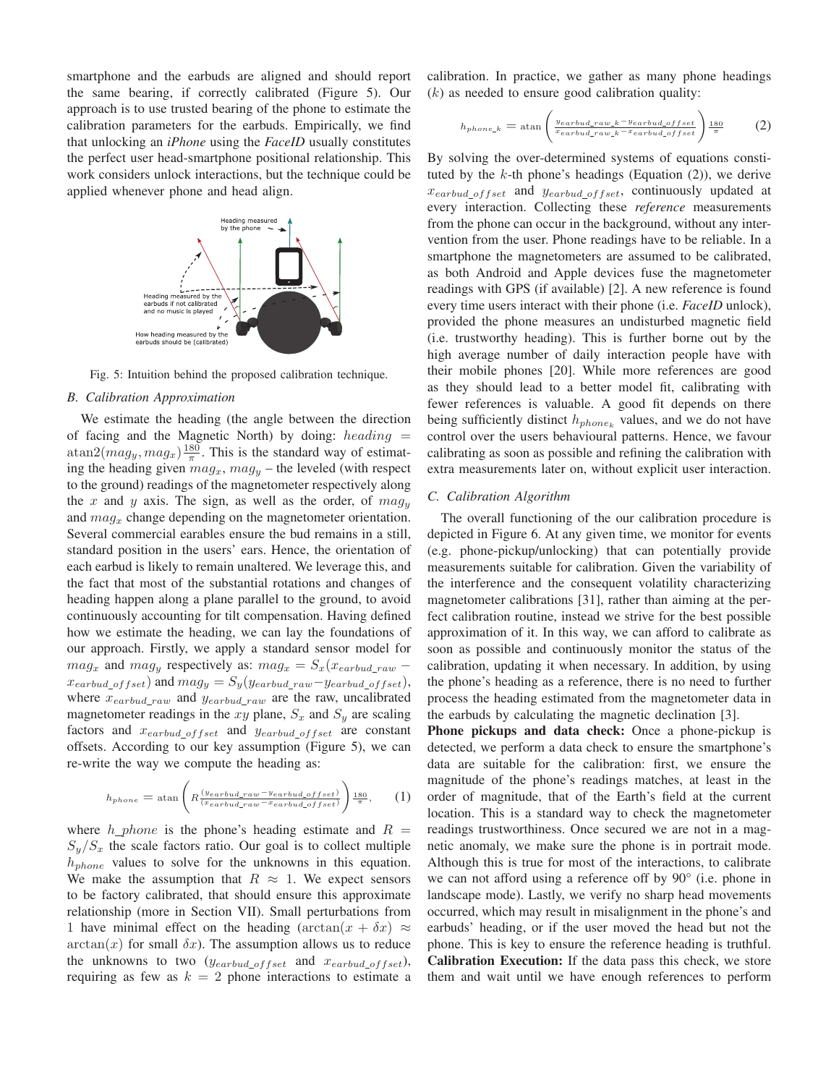smartphone and the earbuds are aligned and should report the same bearing, if correctly calibrated (Figure 5). Our approach is to use trusted bearing of the phone to estimate the calibration parameters for the earbuds. Empirically, we find that unlocking an *iPhone* using the *FaceID* usually constitutes the perfect user head-smartphone positional relationship. This work considers unlock interactions, but the technique could be applied whenever phone and head align.



Fig. 5: Intuition behind the proposed calibration technique.

# *B. Calibration Approximation*

We estimate the heading (the angle between the direction of facing and the Magnetic North) by doing:  $heading =$  $\text{atan2}(mag_y, mag_x) \frac{180}{\pi}$ . This is the standard way of estimating the heading given  $mag_x$ ,  $mag_y$  – the leveled (with respect to the ground) readings of the magnetometer respectively along the x and y axis. The sign, as well as the order, of  $mag<sub>y</sub>$ and  $mag_x$  change depending on the magnetometer orientation. Several commercial earables ensure the bud remains in a still, standard position in the users' ears. Hence, the orientation of each earbud is likely to remain unaltered. We leverage this, and the fact that most of the substantial rotations and changes of heading happen along a plane parallel to the ground, to avoid continuously accounting for tilt compensation. Having defined how we estimate the heading, we can lay the foundations of our approach. Firstly, we apply a standard sensor model for  $mag_x$  and  $mag_y$  respectively as:  $mag_x = S_x(x_{earthud\ raw}$  $x_{earthud\_offset}$ ) and  $mag_y = S_y(y_{earthud\_raw} - y_{earthud\_offset}),$ where  $x_{earthud\_raw}$  and  $y_{earthud\_raw}$  are the raw, uncalibrated magnetometer readings in the xy plane,  $S_x$  and  $S_y$  are scaling factors and  $x_{earthud\_offset}$  and  $y_{earthud\_offset}$  are constant offsets. According to our key assumption (Figure 5), we can re-write the way we compute the heading as:

$$
h_{phone} = \operatorname{atan}\left(R\frac{(y_{earthud\_raw} - y_{earthud\_offset})}{(x_{earthud\_raw} - x_{earthud\_offset})}\right) \frac{180}{\pi}, \quad (1)
$$

where  $h\_phone$  is the phone's heading estimate and  $R =$  $S_y/S_x$  the scale factors ratio. Our goal is to collect multiple  $h_{phone}$  values to solve for the unknowns in this equation. We make the assumption that  $R \approx 1$ . We expect sensors to be factory calibrated, that should ensure this approximate relationship (more in Section VII). Small perturbations from 1 have minimal effect on the heading  $(\arctan(x + \delta x) \approx$  $arctan(x)$  for small  $\delta x$ ). The assumption allows us to reduce the unknowns to two  $(y_{earthud\_offset}$  and  $x_{earthud\_offset}$ ), requiring as few as  $k = 2$  phone interactions to estimate a calibration. In practice, we gather as many phone headings  $(k)$  as needed to ensure good calibration quality:

$$
h_{phone\_k} = \operatorname{atan} \left( \frac{y_{earthud\_raw\_k} - y_{earthud\_offset}}{x_{earthud\_raw\_k} - x_{earthud\_offset}} \right) \frac{180}{\pi} \tag{2}
$$

By solving the over-determined systems of equations constituted by the  $k$ -th phone's headings (Equation (2)), we derive  $x_{earthud\_offset}$  and  $y_{earthud\_offset}$ , continuously updated at every interaction. Collecting these *reference* measurements from the phone can occur in the background, without any intervention from the user. Phone readings have to be reliable. In a smartphone the magnetometers are assumed to be calibrated, as both Android and Apple devices fuse the magnetometer readings with GPS (if available) [2]. A new reference is found every time users interact with their phone (i.e. *FaceID* unlock), provided the phone measures an undisturbed magnetic field (i.e. trustworthy heading). This is further borne out by the high average number of daily interaction people have with their mobile phones [20]. While more references are good as they should lead to a better model fit, calibrating with fewer references is valuable. A good fit depends on there being sufficiently distinct  $h_{phone_k}$  values, and we do not have control over the users behavioural patterns. Hence, we favour calibrating as soon as possible and refining the calibration with extra measurements later on, without explicit user interaction.

# *C. Calibration Algorithm*

The overall functioning of the our calibration procedure is depicted in Figure 6. At any given time, we monitor for events (e.g. phone-pickup/unlocking) that can potentially provide measurements suitable for calibration. Given the variability of the interference and the consequent volatility characterizing magnetometer calibrations [31], rather than aiming at the perfect calibration routine, instead we strive for the best possible approximation of it. In this way, we can afford to calibrate as soon as possible and continuously monitor the status of the calibration, updating it when necessary. In addition, by using the phone's heading as a reference, there is no need to further process the heading estimated from the magnetometer data in the earbuds by calculating the magnetic declination [3].

Phone pickups and data check: Once a phone-pickup is detected, we perform a data check to ensure the smartphone's data are suitable for the calibration: first, we ensure the magnitude of the phone's readings matches, at least in the order of magnitude, that of the Earth's field at the current location. This is a standard way to check the magnetometer readings trustworthiness. Once secured we are not in a magnetic anomaly, we make sure the phone is in portrait mode. Although this is true for most of the interactions, to calibrate we can not afford using a reference off by 90° (i.e. phone in landscape mode). Lastly, we verify no sharp head movements occurred, which may result in misalignment in the phone's and earbuds' heading, or if the user moved the head but not the phone. This is key to ensure the reference heading is truthful. Calibration Execution: If the data pass this check, we store them and wait until we have enough references to perform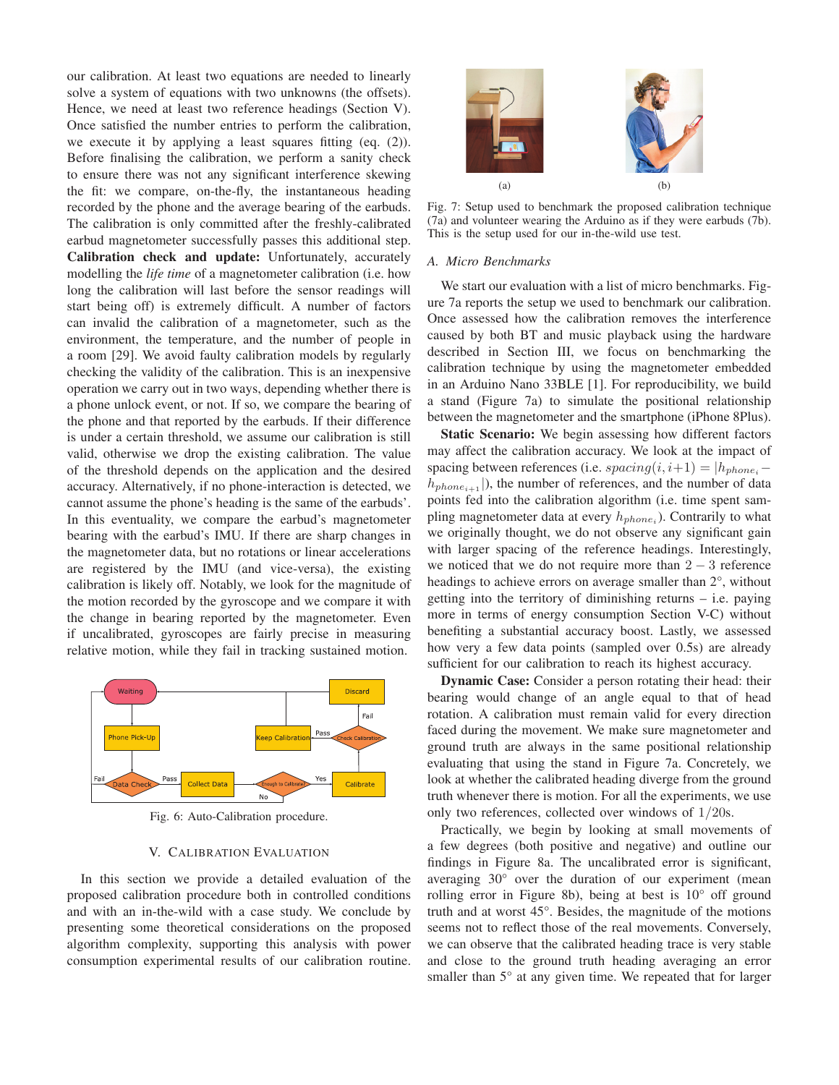our calibration. At least two equations are needed to linearly solve a system of equations with two unknowns (the offsets). Hence, we need at least two reference headings (Section V). Once satisfied the number entries to perform the calibration, we execute it by applying a least squares fitting (eq. (2)). Before finalising the calibration, we perform a sanity check to ensure there was not any significant interference skewing the fit: we compare, on-the-fly, the instantaneous heading recorded by the phone and the average bearing of the earbuds. The calibration is only committed after the freshly-calibrated earbud magnetometer successfully passes this additional step. Calibration check and update: Unfortunately, accurately modelling the *life time* of a magnetometer calibration (i.e. how long the calibration will last before the sensor readings will start being off) is extremely difficult. A number of factors can invalid the calibration of a magnetometer, such as the environment, the temperature, and the number of people in a room [29]. We avoid faulty calibration models by regularly checking the validity of the calibration. This is an inexpensive operation we carry out in two ways, depending whether there is a phone unlock event, or not. If so, we compare the bearing of the phone and that reported by the earbuds. If their difference is under a certain threshold, we assume our calibration is still valid, otherwise we drop the existing calibration. The value of the threshold depends on the application and the desired accuracy. Alternatively, if no phone-interaction is detected, we cannot assume the phone's heading is the same of the earbuds'. In this eventuality, we compare the earbud's magnetometer bearing with the earbud's IMU. If there are sharp changes in the magnetometer data, but no rotations or linear accelerations are registered by the IMU (and vice-versa), the existing calibration is likely off. Notably, we look for the magnitude of the motion recorded by the gyroscope and we compare it with the change in bearing reported by the magnetometer. Even if uncalibrated, gyroscopes are fairly precise in measuring relative motion, while they fail in tracking sustained motion.



Fig. 6: Auto-Calibration procedure.

## V. CALIBRATION EVALUATION

In this section we provide a detailed evaluation of the proposed calibration procedure both in controlled conditions and with an in-the-wild with a case study. We conclude by presenting some theoretical considerations on the proposed algorithm complexity, supporting this analysis with power consumption experimental results of our calibration routine.



Fig. 7: Setup used to benchmark the proposed calibration technique (7a) and volunteer wearing the Arduino as if they were earbuds (7b). This is the setup used for our in-the-wild use test.

#### *A. Micro Benchmarks*

We start our evaluation with a list of micro benchmarks. Figure 7a reports the setup we used to benchmark our calibration. Once assessed how the calibration removes the interference caused by both BT and music playback using the hardware described in Section III, we focus on benchmarking the calibration technique by using the magnetometer embedded in an Arduino Nano 33BLE [1]. For reproducibility, we build a stand (Figure 7a) to simulate the positional relationship between the magnetometer and the smartphone (iPhone 8Plus).

Static Scenario: We begin assessing how different factors may affect the calibration accuracy. We look at the impact of spacing between references (i.e. spacing $(i, i+1) = |h_{phone_i}$  $h_{phone_{i+1}}$ ), the number of references, and the number of data points fed into the calibration algorithm (i.e. time spent sampling magnetometer data at every  $h_{phone_i}$ ). Contrarily to what we originally thought, we do not observe any significant gain with larger spacing of the reference headings. Interestingly, we noticed that we do not require more than  $2 - 3$  reference headings to achieve errors on average smaller than 2°, without getting into the territory of diminishing returns – i.e. paying more in terms of energy consumption Section V-C) without benefiting a substantial accuracy boost. Lastly, we assessed how very a few data points (sampled over 0.5s) are already sufficient for our calibration to reach its highest accuracy.

Dynamic Case: Consider a person rotating their head: their bearing would change of an angle equal to that of head rotation. A calibration must remain valid for every direction faced during the movement. We make sure magnetometer and ground truth are always in the same positional relationship evaluating that using the stand in Figure 7a. Concretely, we look at whether the calibrated heading diverge from the ground truth whenever there is motion. For all the experiments, we use only two references, collected over windows of 1/20s.

Practically, we begin by looking at small movements of a few degrees (both positive and negative) and outline our findings in Figure 8a. The uncalibrated error is significant, averaging 30° over the duration of our experiment (mean rolling error in Figure 8b), being at best is 10° off ground truth and at worst 45°. Besides, the magnitude of the motions seems not to reflect those of the real movements. Conversely, we can observe that the calibrated heading trace is very stable and close to the ground truth heading averaging an error smaller than 5° at any given time. We repeated that for larger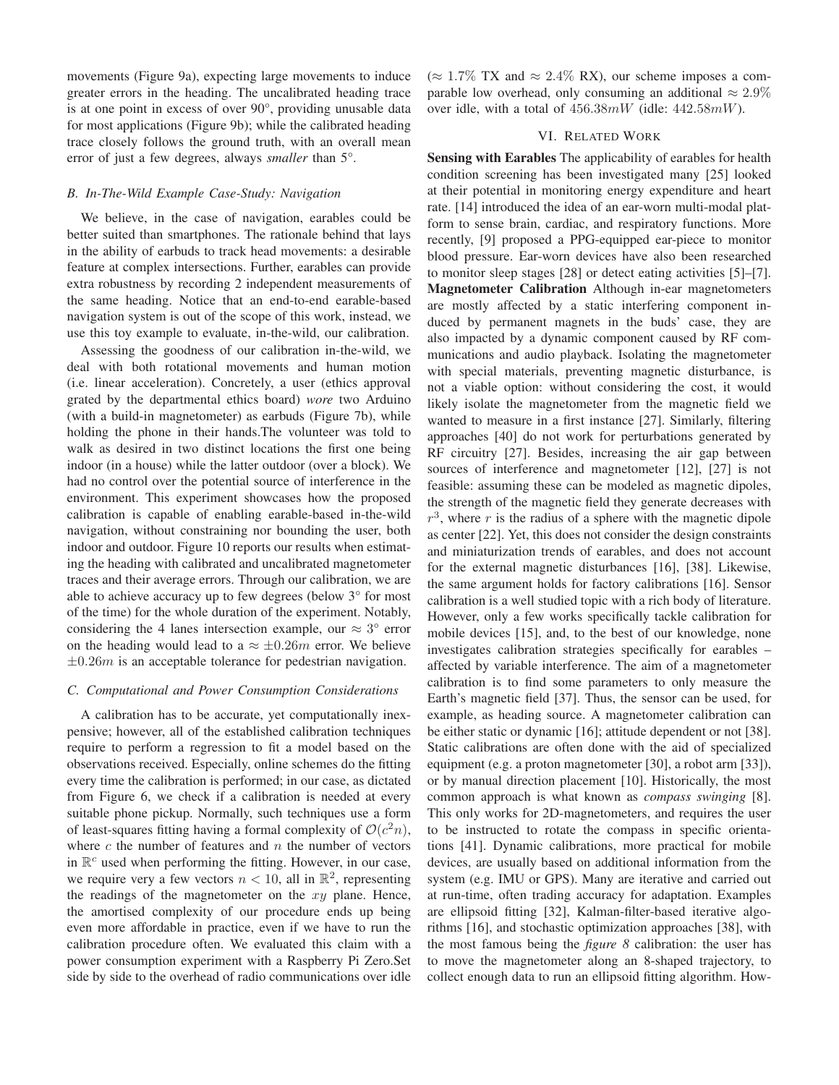movements (Figure 9a), expecting large movements to induce greater errors in the heading. The uncalibrated heading trace is at one point in excess of over 90°, providing unusable data for most applications (Figure 9b); while the calibrated heading trace closely follows the ground truth, with an overall mean error of just a few degrees, always *smaller* than 5°.

# *B. In-The-Wild Example Case-Study: Navigation*

We believe, in the case of navigation, earables could be better suited than smartphones. The rationale behind that lays in the ability of earbuds to track head movements: a desirable feature at complex intersections. Further, earables can provide extra robustness by recording 2 independent measurements of the same heading. Notice that an end-to-end earable-based navigation system is out of the scope of this work, instead, we use this toy example to evaluate, in-the-wild, our calibration.

Assessing the goodness of our calibration in-the-wild, we deal with both rotational movements and human motion (i.e. linear acceleration). Concretely, a user (ethics approval grated by the departmental ethics board) *wore* two Arduino (with a build-in magnetometer) as earbuds (Figure 7b), while holding the phone in their hands.The volunteer was told to walk as desired in two distinct locations the first one being indoor (in a house) while the latter outdoor (over a block). We had no control over the potential source of interference in the environment. This experiment showcases how the proposed calibration is capable of enabling earable-based in-the-wild navigation, without constraining nor bounding the user, both indoor and outdoor. Figure 10 reports our results when estimating the heading with calibrated and uncalibrated magnetometer traces and their average errors. Through our calibration, we are able to achieve accuracy up to few degrees (below 3° for most of the time) for the whole duration of the experiment. Notably, considering the 4 lanes intersection example, our  $\approx 3^{\circ}$  error on the heading would lead to a  $\approx \pm 0.26$ m error. We believe  $\pm 0.26m$  is an acceptable tolerance for pedestrian navigation.

#### *C. Computational and Power Consumption Considerations*

A calibration has to be accurate, yet computationally inexpensive; however, all of the established calibration techniques require to perform a regression to fit a model based on the observations received. Especially, online schemes do the fitting every time the calibration is performed; in our case, as dictated from Figure 6, we check if a calibration is needed at every suitable phone pickup. Normally, such techniques use a form of least-squares fitting having a formal complexity of  $O(c^2n)$ , where  $c$  the number of features and  $n$  the number of vectors in  $\mathbb{R}^c$  used when performing the fitting. However, in our case, we require very a few vectors  $n < 10$ , all in  $\mathbb{R}^2$ , representing the readings of the magnetometer on the  $xy$  plane. Hence, the amortised complexity of our procedure ends up being even more affordable in practice, even if we have to run the calibration procedure often. We evaluated this claim with a power consumption experiment with a Raspberry Pi Zero.Set side by side to the overhead of radio communications over idle ( $\approx$  1.7% TX and  $\approx$  2.4% RX), our scheme imposes a comparable low overhead, only consuming an additional  $\approx 2.9\%$ over idle, with a total of 456.38mW (idle: 442.58mW).

# VI. RELATED WORK

Sensing with Earables The applicability of earables for health condition screening has been investigated many [25] looked at their potential in monitoring energy expenditure and heart rate. [14] introduced the idea of an ear-worn multi-modal platform to sense brain, cardiac, and respiratory functions. More recently, [9] proposed a PPG-equipped ear-piece to monitor blood pressure. Ear-worn devices have also been researched to monitor sleep stages [28] or detect eating activities [5]–[7]. Magnetometer Calibration Although in-ear magnetometers are mostly affected by a static interfering component induced by permanent magnets in the buds' case, they are also impacted by a dynamic component caused by RF communications and audio playback. Isolating the magnetometer with special materials, preventing magnetic disturbance, is not a viable option: without considering the cost, it would likely isolate the magnetometer from the magnetic field we wanted to measure in a first instance [27]. Similarly, filtering approaches [40] do not work for perturbations generated by RF circuitry [27]. Besides, increasing the air gap between sources of interference and magnetometer [12], [27] is not feasible: assuming these can be modeled as magnetic dipoles, the strength of the magnetic field they generate decreases with  $r<sup>3</sup>$ , where r is the radius of a sphere with the magnetic dipole as center [22]. Yet, this does not consider the design constraints and miniaturization trends of earables, and does not account for the external magnetic disturbances [16], [38]. Likewise, the same argument holds for factory calibrations [16]. Sensor calibration is a well studied topic with a rich body of literature. However, only a few works specifically tackle calibration for mobile devices [15], and, to the best of our knowledge, none investigates calibration strategies specifically for earables – affected by variable interference. The aim of a magnetometer calibration is to find some parameters to only measure the Earth's magnetic field [37]. Thus, the sensor can be used, for example, as heading source. A magnetometer calibration can be either static or dynamic [16]; attitude dependent or not [38]. Static calibrations are often done with the aid of specialized equipment (e.g. a proton magnetometer [30], a robot arm [33]), or by manual direction placement [10]. Historically, the most common approach is what known as *compass swinging* [8]. This only works for 2D-magnetometers, and requires the user to be instructed to rotate the compass in specific orientations [41]. Dynamic calibrations, more practical for mobile devices, are usually based on additional information from the system (e.g. IMU or GPS). Many are iterative and carried out at run-time, often trading accuracy for adaptation. Examples are ellipsoid fitting [32], Kalman-filter-based iterative algorithms [16], and stochastic optimization approaches [38], with the most famous being the *figure 8* calibration: the user has to move the magnetometer along an 8-shaped trajectory, to collect enough data to run an ellipsoid fitting algorithm. How-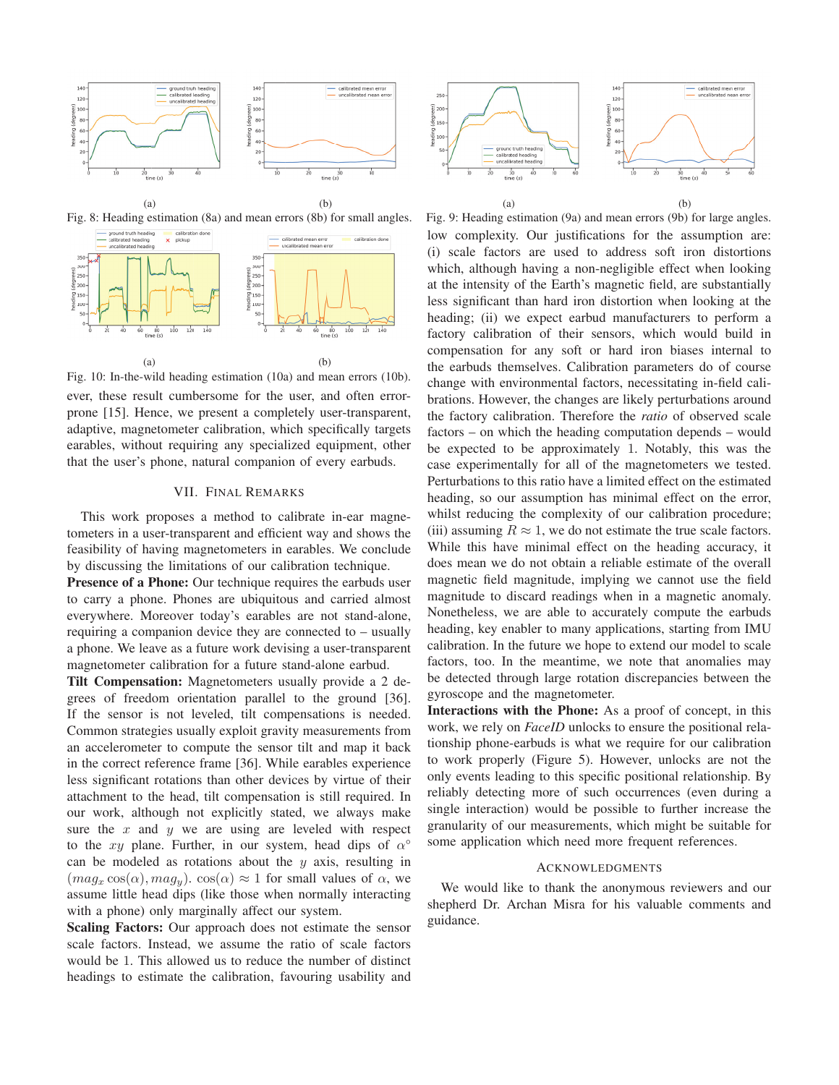

 $(a)$  (b) Fig. 8: Heading estimation (8a) and mean errors (8b) for small angles.





ever, these result cumbersome for the user, and often errorprone [15]. Hence, we present a completely user-transparent, adaptive, magnetometer calibration, which specifically targets earables, without requiring any specialized equipment, other that the user's phone, natural companion of every earbuds.

## VII. FINAL REMARKS

This work proposes a method to calibrate in-ear magnetometers in a user-transparent and efficient way and shows the feasibility of having magnetometers in earables. We conclude by discussing the limitations of our calibration technique.

Presence of a Phone: Our technique requires the earbuds user to carry a phone. Phones are ubiquitous and carried almost everywhere. Moreover today's earables are not stand-alone, requiring a companion device they are connected to – usually a phone. We leave as a future work devising a user-transparent magnetometer calibration for a future stand-alone earbud.

Tilt Compensation: Magnetometers usually provide a 2 degrees of freedom orientation parallel to the ground [36]. If the sensor is not leveled, tilt compensations is needed. Common strategies usually exploit gravity measurements from an accelerometer to compute the sensor tilt and map it back in the correct reference frame [36]. While earables experience less significant rotations than other devices by virtue of their attachment to the head, tilt compensation is still required. In our work, although not explicitly stated, we always make sure the  $x$  and  $y$  we are using are leveled with respect to the xy plane. Further, in our system, head dips of  $\alpha^{\circ}$ can be modeled as rotations about the  $y$  axis, resulting in  $(mag_x \cos(\alpha), mag_y)$ .  $\cos(\alpha) \approx 1$  for small values of  $\alpha$ , we assume little head dips (like those when normally interacting with a phone) only marginally affect our system.

Scaling Factors: Our approach does not estimate the sensor scale factors. Instead, we assume the ratio of scale factors would be 1. This allowed us to reduce the number of distinct headings to estimate the calibration, favouring usability and



Fig. 9: Heading estimation (9a) and mean errors (9b) for large angles. low complexity. Our justifications for the assumption are: (i) scale factors are used to address soft iron distortions which, although having a non-negligible effect when looking at the intensity of the Earth's magnetic field, are substantially less significant than hard iron distortion when looking at the heading; (ii) we expect earbud manufacturers to perform a factory calibration of their sensors, which would build in compensation for any soft or hard iron biases internal to the earbuds themselves. Calibration parameters do of course change with environmental factors, necessitating in-field calibrations. However, the changes are likely perturbations around the factory calibration. Therefore the *ratio* of observed scale factors – on which the heading computation depends – would be expected to be approximately 1. Notably, this was the case experimentally for all of the magnetometers we tested. Perturbations to this ratio have a limited effect on the estimated heading, so our assumption has minimal effect on the error, whilst reducing the complexity of our calibration procedure; (iii) assuming  $R \approx 1$ , we do not estimate the true scale factors. While this have minimal effect on the heading accuracy, it does mean we do not obtain a reliable estimate of the overall magnetic field magnitude, implying we cannot use the field magnitude to discard readings when in a magnetic anomaly. Nonetheless, we are able to accurately compute the earbuds heading, key enabler to many applications, starting from IMU calibration. In the future we hope to extend our model to scale factors, too. In the meantime, we note that anomalies may be detected through large rotation discrepancies between the gyroscope and the magnetometer.

Interactions with the Phone: As a proof of concept, in this work, we rely on *FaceID* unlocks to ensure the positional relationship phone-earbuds is what we require for our calibration to work properly (Figure 5). However, unlocks are not the only events leading to this specific positional relationship. By reliably detecting more of such occurrences (even during a single interaction) would be possible to further increase the granularity of our measurements, which might be suitable for some application which need more frequent references.

#### ACKNOWLEDGMENTS

We would like to thank the anonymous reviewers and our shepherd Dr. Archan Misra for his valuable comments and guidance.